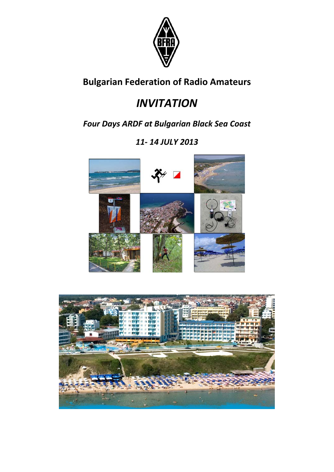

# **Bulgarian Federation of Radio Amateurs**

# *INVITATION*

*Four Days ARDF at Bulgarian Black Sea Coast*

# *11‐ 14 JULY 2013*



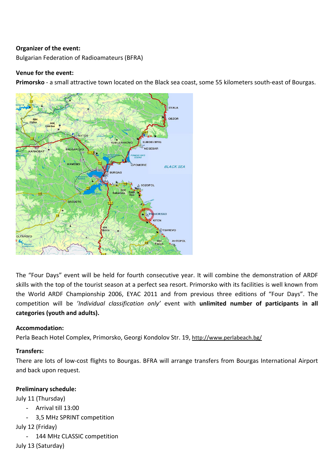#### **Organizer of the event:**

Bulgarian Federation of Radioamateurs (BFRA)

#### **Venue for the event:**

**Primorsko** ‐ a small attractive town located on the Black sea coast, some 55 kilometers south‐east of Bourgas.



The "Four Days" event will be held for fourth consecutive year. It will combine the demonstration of ARDF skills with the top of the tourist season at a perfect sea resort. Primorsko with its facilities is well known from the World ARDF Championship 2006, EYAC 2011 and from previous three editions of "Four Days". The competition will be *'Individual classification only'* event with **unlimited number of participants in all categories (youth and adults).** 

# **Accommodation:**

Perla Beach Hotel Complex, Primorsko, Georgi Kondolov Str. 19, http://www.perlabeach.bg/

# **Transfers:**

There are lots of low‐cost flights to Bourgas. BFRA will arrange transfers from Bourgas International Airport and back upon request.

# **Preliminary schedule:**

July 11 (Thursday)

- Arrival till 13:00
- 3,5 MHz SPRINT competition

July 12 (Friday)

144 MHz CLASSIC competition

July 13 (Saturday)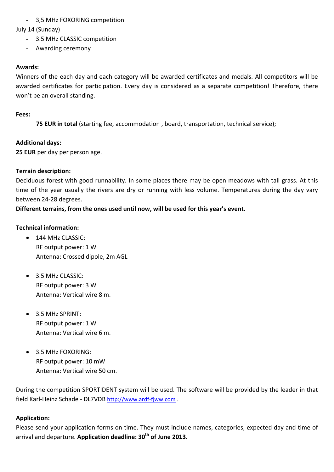# - 3,5 MHz FOXORING competition

# July 14 (Sunday)

- 3.5 MHz CLASSIC competition
- Awarding ceremony

# **Awards:**

Winners of the each day and each category will be awarded certificates and medals. All competitors will be awarded certificates for participation. Every day is considered as a separate competition! Therefore, there won't be an overall standing.

# **Fees:**

**75 EUR in total** (starting fee, accommodation , board, transportation, technical service);

# **Additional days:**

**25 EUR** per day per person age.

# **Terrain description:**

Deciduous forest with good runnability. In some places there may be open meadows with tall grass. At this time of the year usually the rivers are dry or running with less volume. Temperatures during the day vary between 24‐28 degrees.

**Different terrains, from the ones used until now, will be used for this year's event.**

# **Technical information:**

- $\bullet$  144 MHz CLASSIC: RF output power: 1 W Antenna: Crossed dipole, 2m AGL
- 3.5 MHz CLASSIC: RF output power: 3 W Antenna: Vertical wire 8 m.
- 3.5 MHz SPRINT: RF output power: 1 W Antenna: Vertical wire 6 m.
- 3.5 MHz FOXORING: RF output power: 10 mW Antenna: Vertical wire 50 cm.

During the competition SPORTIDENT system will be used. The software will be provided by the leader in that field Karl‐Heinz Schade ‐ DL7VDB http://www.ardf‐fjww.com .

# **Application:**

Please send your application forms on time. They must include names, categories, expected day and time of arrival and departure. **Application deadline: 30th of June 2013**.